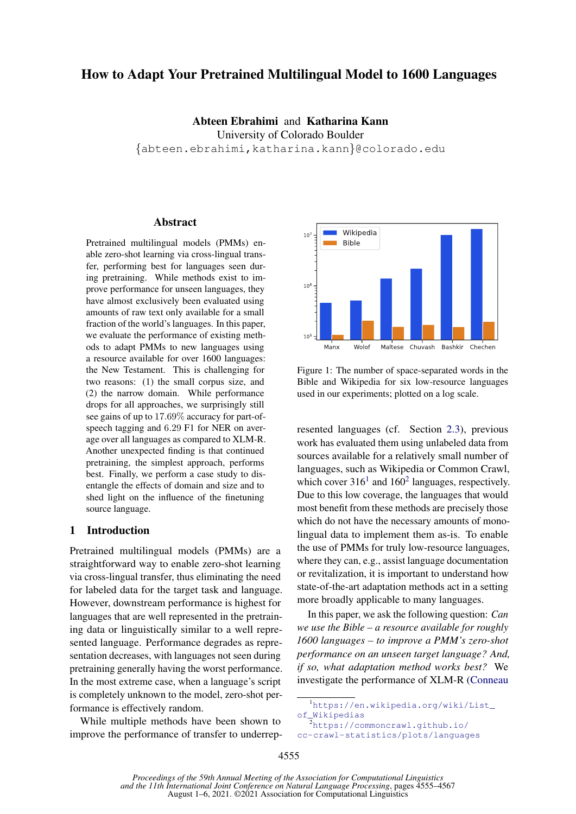# <span id="page-0-0"></span>How to Adapt Your Pretrained Multilingual Model to 1600 Languages

Abteen Ebrahimi and Katharina Kann University of Colorado Boulder {abteen.ebrahimi,katharina.kann}@colorado.edu

# Abstract

Pretrained multilingual models (PMMs) enable zero-shot learning via cross-lingual transfer, performing best for languages seen during pretraining. While methods exist to improve performance for unseen languages, they have almost exclusively been evaluated using amounts of raw text only available for a small fraction of the world's languages. In this paper, we evaluate the performance of existing methods to adapt PMMs to new languages using a resource available for over 1600 languages: the New Testament. This is challenging for two reasons: (1) the small corpus size, and (2) the narrow domain. While performance drops for all approaches, we surprisingly still see gains of up to 17.69% accuracy for part-ofspeech tagging and 6.29 F1 for NER on average over all languages as compared to XLM-R. Another unexpected finding is that continued pretraining, the simplest approach, performs best. Finally, we perform a case study to disentangle the effects of domain and size and to shed light on the influence of the finetuning source language.

#### 1 Introduction

Pretrained multilingual models (PMMs) are a straightforward way to enable zero-shot learning via cross-lingual transfer, thus eliminating the need for labeled data for the target task and language. However, downstream performance is highest for languages that are well represented in the pretraining data or linguistically similar to a well represented language. Performance degrades as representation decreases, with languages not seen during pretraining generally having the worst performance. In the most extreme case, when a language's script is completely unknown to the model, zero-shot performance is effectively random.

While multiple methods have been shown to improve the performance of transfer to underrep-



Figure 1: The number of space-separated words in the Bible and Wikipedia for six low-resource languages used in our experiments; plotted on a log scale.

resented languages (cf. Section [2.3\)](#page-2-0), previous work has evaluated them using unlabeled data from sources available for a relatively small number of languages, such as Wikipedia or Common Crawl, which cover  $316<sup>1</sup>$  and  $160<sup>2</sup>$  languages, respectively. Due to this low coverage, the languages that would most benefit from these methods are precisely those which do not have the necessary amounts of monolingual data to implement them as-is. To enable the use of PMMs for truly low-resource languages, where they can, e.g., assist language documentation or revitalization, it is important to understand how state-of-the-art adaptation methods act in a setting more broadly applicable to many languages.

In this paper, we ask the following question: *Can we use the Bible – a resource available for roughly 1600 languages – to improve a PMM's zero-shot performance on an unseen target language? And, if so, what adaptation method works best?* We investigate the performance of XLM-R [\(Conneau](#page-8-0)

[cc-crawl-statistics/plots/languages](#page-8-0)

<sup>1</sup>[https://en.wikipedia.org/wiki/List\\_](#page-8-0) [of\\_Wikipedias](#page-8-0)

<sup>2</sup>[https://commoncrawl.github.io/](#page-8-0)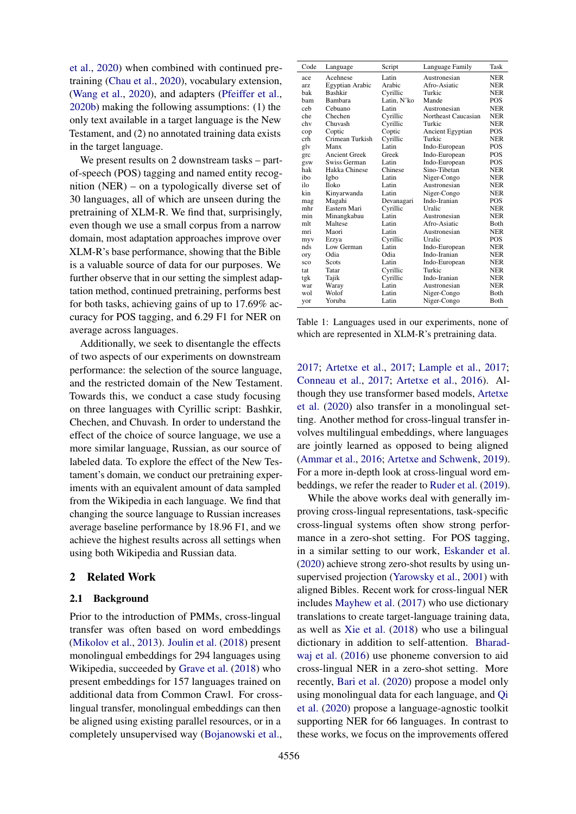[et al.,](#page-8-0) [2020\)](#page-8-0) when combined with continued pretraining [\(Chau et al.,](#page-8-1) [2020\)](#page-8-1), vocabulary extension, [\(Wang et al.,](#page-10-0) [2020\)](#page-10-0), and adapters [\(Pfeiffer et al.,](#page-9-0) [2020b\)](#page-9-0) making the following assumptions: (1) the only text available in a target language is the New Testament, and (2) no annotated training data exists in the target language.

We present results on 2 downstream tasks – partof-speech (POS) tagging and named entity recognition (NER) – on a typologically diverse set of 30 languages, all of which are unseen during the pretraining of XLM-R. We find that, surprisingly, even though we use a small corpus from a narrow domain, most adaptation approaches improve over XLM-R's base performance, showing that the Bible is a valuable source of data for our purposes. We further observe that in our setting the simplest adaptation method, continued pretraining, performs best for both tasks, achieving gains of up to 17.69% accuracy for POS tagging, and 6.29 F1 for NER on average across languages.

Additionally, we seek to disentangle the effects of two aspects of our experiments on downstream performance: the selection of the source language, and the restricted domain of the New Testament. Towards this, we conduct a case study focusing on three languages with Cyrillic script: Bashkir, Chechen, and Chuvash. In order to understand the effect of the choice of source language, we use a more similar language, Russian, as our source of labeled data. To explore the effect of the New Testament's domain, we conduct our pretraining experiments with an equivalent amount of data sampled from the Wikipedia in each language. We find that changing the source language to Russian increases average baseline performance by 18.96 F1, and we achieve the highest results across all settings when using both Wikipedia and Russian data.

### 2 Related Work

### 2.1 Background

Prior to the introduction of PMMs, cross-lingual transfer was often based on word embeddings [\(Mikolov et al.,](#page-9-1) [2013\)](#page-9-1). [Joulin et al.](#page-9-2) [\(2018\)](#page-9-2) present monolingual embeddings for 294 languages using Wikipedia, succeeded by [Grave et al.](#page-8-2) [\(2018\)](#page-8-2) who present embeddings for 157 languages trained on additional data from Common Crawl. For crosslingual transfer, monolingual embeddings can then be aligned using existing parallel resources, or in a completely unsupervised way [\(Bojanowski et al.,](#page-8-3)

<span id="page-1-0"></span>

| Code | Language             | Script      | Language Family         | Task       |
|------|----------------------|-------------|-------------------------|------------|
| ace  | Acehnese             | Latin       | Austronesian            | <b>NER</b> |
| arz. | Egyptian Arabic      | Arabic      | Afro-Asiatic            | <b>NER</b> |
| bak  | <b>Bashkir</b>       | Cyrillic    | Turkic                  | <b>NER</b> |
| ham  | Bambara              | Latin, N'ko | Mande                   | POS        |
| ceh  | Cebuano              | Latin       | Austronesian            | <b>NER</b> |
| che  | Chechen              | Cvrillic    | Northeast Caucasian     | <b>NER</b> |
| chv  | Chuvash              | Cyrillic    | Turkic                  | <b>NER</b> |
| cop  | Coptic               | Coptic      | <b>Ancient Egyptian</b> | POS        |
| crh  | Crimean Turkish      | Cyrillic    | Turkic                  | <b>NER</b> |
| gly  | Manx                 | Latin       | Indo-European           | POS        |
| grc  | <b>Ancient Greek</b> | Greek       | Indo-European           | POS        |
| gsw  | Swiss German         | Latin       | Indo-European           | POS        |
| hak  | Hakka Chinese        | Chinese     | Sino-Tibetan            | <b>NER</b> |
| ibo  | Igbo                 | Latin       | Niger-Congo             | <b>NER</b> |
| ilo  | <b>Iloko</b>         | Latin       | Austronesian            | <b>NER</b> |
| kin  | Kinyarwanda          | Latin       | Niger-Congo             | <b>NER</b> |
| mag  | Magahi               | Devanagari  | Indo-Iranian            | POS        |
| mhr  | Eastern Mari         | Cyrillic    | Uralic                  | <b>NER</b> |
| min  | Minangkabau          | Latin       | Austronesian            | <b>NER</b> |
| mlt  | Maltese              | Latin       | Afro-Asiatic            | Both       |
| mri  | Maori                | Latin       | Austronesian            | <b>NER</b> |
| myy  | Erzya                | Cyrillic    | Uralic                  | POS        |
| nds  | Low German           | Latin       | Indo-European           | <b>NER</b> |
| ory  | Odia                 | Odia        | Indo-Iranian            | <b>NER</b> |
| sco  | Scots                | Latin       | Indo-European           | <b>NER</b> |
| tat  | Tatar                | Cyrillic    | Turkic                  | <b>NER</b> |
| tgk  | Tajik                | Cyrillic    | Indo-Iranian            | <b>NER</b> |
| war  | Waray                | Latin       | Austronesian            | <b>NER</b> |
| wol  | Wolof                | Latin       | Niger-Congo             | Both       |
| yor  | Yoruba               | Latin       | Niger-Congo             | Both       |

Table 1: Languages used in our experiments, none of which are represented in XLM-R's pretraining data.

[2017;](#page-8-3) [Artetxe et al.,](#page-8-4) [2017;](#page-8-4) [Lample et al.,](#page-9-3) [2017;](#page-9-3) [Conneau et al.,](#page-8-5) [2017;](#page-8-5) [Artetxe et al.,](#page-8-6) [2016\)](#page-8-6). Although they use transformer based models, [Artetxe](#page-8-7) [et al.](#page-8-7) [\(2020\)](#page-8-7) also transfer in a monolingual setting. Another method for cross-lingual transfer involves multilingual embeddings, where languages are jointly learned as opposed to being aligned [\(Ammar et al.,](#page-8-8) [2016;](#page-8-8) [Artetxe and Schwenk,](#page-8-9) [2019\)](#page-8-9). For a more in-depth look at cross-lingual word embeddings, we refer the reader to [Ruder et al.](#page-10-1) [\(2019\)](#page-10-1).

While the above works deal with generally improving cross-lingual representations, task-specific cross-lingual systems often show strong performance in a zero-shot setting. For POS tagging, in a similar setting to our work, [Eskander et al.](#page-8-10) [\(2020\)](#page-8-10) achieve strong zero-shot results by using unsupervised projection [\(Yarowsky et al.,](#page-10-2) [2001\)](#page-10-2) with aligned Bibles. Recent work for cross-lingual NER includes [Mayhew et al.](#page-9-4) [\(2017\)](#page-9-4) who use dictionary translations to create target-language training data, as well as [Xie et al.](#page-10-3) [\(2018\)](#page-10-3) who use a bilingual dictionary in addition to self-attention. [Bharad](#page-8-11)[waj et al.](#page-8-11) [\(2016\)](#page-8-11) use phoneme conversion to aid cross-lingual NER in a zero-shot setting. More recently, [Bari et al.](#page-8-12) [\(2020\)](#page-8-12) propose a model only using monolingual data for each language, and [Qi](#page-9-5) [et al.](#page-9-5) [\(2020\)](#page-9-5) propose a language-agnostic toolkit supporting NER for 66 languages. In contrast to these works, we focus on the improvements offered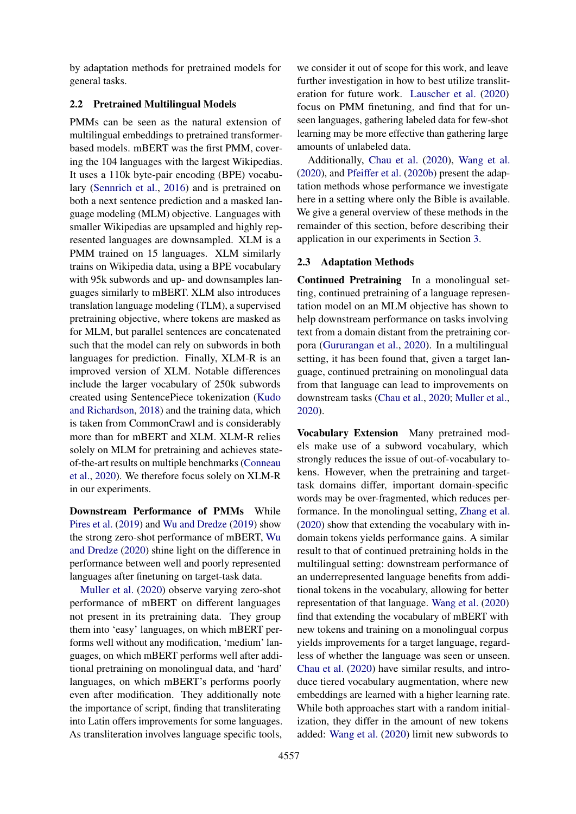by adaptation methods for pretrained models for general tasks.

# 2.2 Pretrained Multilingual Models

PMMs can be seen as the natural extension of multilingual embeddings to pretrained transformerbased models. mBERT was the first PMM, covering the 104 languages with the largest Wikipedias. It uses a 110k byte-pair encoding (BPE) vocabulary [\(Sennrich et al.,](#page-10-4) [2016\)](#page-10-4) and is pretrained on both a next sentence prediction and a masked language modeling (MLM) objective. Languages with smaller Wikipedias are upsampled and highly represented languages are downsampled. XLM is a PMM trained on 15 languages. XLM similarly trains on Wikipedia data, using a BPE vocabulary with 95k subwords and up- and downsamples languages similarly to mBERT. XLM also introduces translation language modeling (TLM), a supervised pretraining objective, where tokens are masked as for MLM, but parallel sentences are concatenated such that the model can rely on subwords in both languages for prediction. Finally, XLM-R is an improved version of XLM. Notable differences include the larger vocabulary of 250k subwords created using SentencePiece tokenization [\(Kudo](#page-9-6) [and Richardson,](#page-9-6) [2018\)](#page-9-6) and the training data, which is taken from CommonCrawl and is considerably more than for mBERT and XLM. XLM-R relies solely on MLM for pretraining and achieves stateof-the-art results on multiple benchmarks [\(Conneau](#page-8-0) [et al.,](#page-8-0) [2020\)](#page-8-0). We therefore focus solely on XLM-R in our experiments.

Downstream Performance of PMMs While [Pires et al.](#page-9-7) [\(2019\)](#page-9-7) and [Wu and Dredze](#page-10-5) [\(2019\)](#page-10-5) show the strong zero-shot performance of mBERT, [Wu](#page-10-6) [and Dredze](#page-10-6) [\(2020\)](#page-10-6) shine light on the difference in performance between well and poorly represented languages after finetuning on target-task data.

[Muller et al.](#page-9-8) [\(2020\)](#page-9-8) observe varying zero-shot performance of mBERT on different languages not present in its pretraining data. They group them into 'easy' languages, on which mBERT performs well without any modification, 'medium' languages, on which mBERT performs well after additional pretraining on monolingual data, and 'hard' languages, on which mBERT's performs poorly even after modification. They additionally note the importance of script, finding that transliterating into Latin offers improvements for some languages. As transliteration involves language specific tools,

we consider it out of scope for this work, and leave further investigation in how to best utilize transliteration for future work. [Lauscher et al.](#page-9-9) [\(2020\)](#page-9-9) focus on PMM finetuning, and find that for unseen languages, gathering labeled data for few-shot learning may be more effective than gathering large amounts of unlabeled data.

Additionally, [Chau et al.](#page-8-1) [\(2020\)](#page-8-1), [Wang et al.](#page-10-0) [\(2020\)](#page-10-0), and [Pfeiffer et al.](#page-9-0) [\(2020b\)](#page-9-0) present the adaptation methods whose performance we investigate here in a setting where only the Bible is available. We give a general overview of these methods in the remainder of this section, before describing their application in our experiments in Section [3.](#page-3-0)

# <span id="page-2-0"></span>2.3 Adaptation Methods

Continued Pretraining In a monolingual setting, continued pretraining of a language representation model on an MLM objective has shown to help downstream performance on tasks involving text from a domain distant from the pretraining corpora [\(Gururangan et al.,](#page-8-13) [2020\)](#page-8-13). In a multilingual setting, it has been found that, given a target language, continued pretraining on monolingual data from that language can lead to improvements on downstream tasks [\(Chau et al.,](#page-8-1) [2020;](#page-8-1) [Muller et al.,](#page-9-8) [2020\)](#page-9-8).

Vocabulary Extension Many pretrained models make use of a subword vocabulary, which strongly reduces the issue of out-of-vocabulary tokens. However, when the pretraining and targettask domains differ, important domain-specific words may be over-fragmented, which reduces performance. In the monolingual setting, [Zhang et al.](#page-10-7) [\(2020\)](#page-10-7) show that extending the vocabulary with indomain tokens yields performance gains. A similar result to that of continued pretraining holds in the multilingual setting: downstream performance of an underrepresented language benefits from additional tokens in the vocabulary, allowing for better representation of that language. [Wang et al.](#page-10-0) [\(2020\)](#page-10-0) find that extending the vocabulary of mBERT with new tokens and training on a monolingual corpus yields improvements for a target language, regardless of whether the language was seen or unseen. [Chau et al.](#page-8-1) [\(2020\)](#page-8-1) have similar results, and introduce tiered vocabulary augmentation, where new embeddings are learned with a higher learning rate. While both approaches start with a random initialization, they differ in the amount of new tokens added: [Wang et al.](#page-10-0) [\(2020\)](#page-10-0) limit new subwords to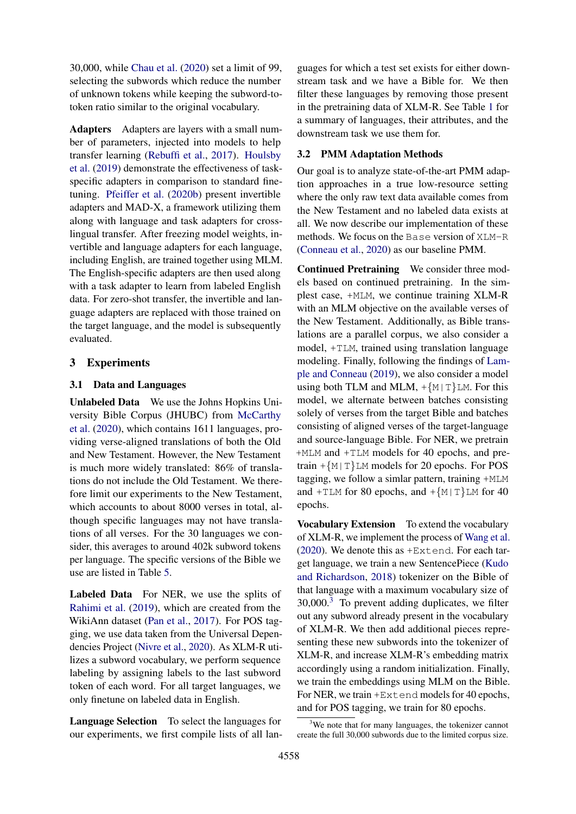30,000, while [Chau et al.](#page-8-1) [\(2020\)](#page-8-1) set a limit of 99, selecting the subwords which reduce the number of unknown tokens while keeping the subword-totoken ratio similar to the original vocabulary.

Adapters Adapters are layers with a small number of parameters, injected into models to help transfer learning [\(Rebuffi et al.,](#page-10-8) [2017\)](#page-10-8). [Houlsby](#page-8-14) [et al.](#page-8-14) [\(2019\)](#page-8-14) demonstrate the effectiveness of taskspecific adapters in comparison to standard finetuning. [Pfeiffer et al.](#page-9-0) [\(2020b\)](#page-9-0) present invertible adapters and MAD-X, a framework utilizing them along with language and task adapters for crosslingual transfer. After freezing model weights, invertible and language adapters for each language, including English, are trained together using MLM. The English-specific adapters are then used along with a task adapter to learn from labeled English data. For zero-shot transfer, the invertible and language adapters are replaced with those trained on the target language, and the model is subsequently evaluated.

# <span id="page-3-0"></span>3 Experiments

#### 3.1 Data and Languages

Unlabeled Data We use the Johns Hopkins University Bible Corpus (JHUBC) from [McCarthy](#page-9-10) [et al.](#page-9-10) [\(2020\)](#page-9-10), which contains 1611 languages, providing verse-aligned translations of both the Old and New Testament. However, the New Testament is much more widely translated: 86% of translations do not include the Old Testament. We therefore limit our experiments to the New Testament, which accounts to about 8000 verses in total, although specific languages may not have translations of all verses. For the 30 languages we consider, this averages to around 402k subword tokens per language. The specific versions of the Bible we use are listed in Table [5.](#page-11-0)

Labeled Data For NER, we use the splits of [Rahimi et al.](#page-9-11) [\(2019\)](#page-9-11), which are created from the WikiAnn dataset [\(Pan et al.,](#page-9-12) [2017\)](#page-9-12). For POS tagging, we use data taken from the Universal Dependencies Project [\(Nivre et al.,](#page-9-13) [2020\)](#page-9-13). As XLM-R utilizes a subword vocabulary, we perform sequence labeling by assigning labels to the last subword token of each word. For all target languages, we only finetune on labeled data in English.

Language Selection To select the languages for our experiments, we first compile lists of all lan-

guages for which a test set exists for either downstream task and we have a Bible for. We then filter these languages by removing those present in the pretraining data of XLM-R. See Table [1](#page-1-0) for a summary of languages, their attributes, and the downstream task we use them for.

### 3.2 PMM Adaptation Methods

Our goal is to analyze state-of-the-art PMM adaption approaches in a true low-resource setting where the only raw text data available comes from the New Testament and no labeled data exists at all. We now describe our implementation of these methods. We focus on the Base version of XLM-R [\(Conneau et al.,](#page-8-0) [2020\)](#page-8-0) as our baseline PMM.

Continued Pretraining We consider three models based on continued pretraining. In the simplest case, +MLM, we continue training XLM-R with an MLM objective on the available verses of the New Testament. Additionally, as Bible translations are a parallel corpus, we also consider a model, +TLM, trained using translation language modeling. Finally, following the findings of [Lam](#page-9-14)[ple and Conneau](#page-9-14) [\(2019\)](#page-9-14), we also consider a model using both TLM and MLM,  $+\{M | T\}LM$ . For this model, we alternate between batches consisting solely of verses from the target Bible and batches consisting of aligned verses of the target-language and source-language Bible. For NER, we pretrain +MLM and +TLM models for 40 epochs, and pretrain  $+\{M | T\}$ LM models for 20 epochs. For POS tagging, we follow a simlar pattern, training +MLM and  $+TLM$  for 80 epochs, and  $+\{M|T\}LM$  for 40 epochs.

Vocabulary Extension To extend the vocabulary of XLM-R, we implement the process of [Wang et al.](#page-10-0) [\(2020\)](#page-10-0). We denote this as +Extend. For each target language, we train a new SentencePiece [\(Kudo](#page-9-6) [and Richardson,](#page-9-6) [2018\)](#page-9-6) tokenizer on the Bible of that language with a maximum vocabulary size of  $30,000$  $30,000$ <sup>3</sup> To prevent adding duplicates, we filter out any subword already present in the vocabulary of XLM-R. We then add additional pieces representing these new subwords into the tokenizer of XLM-R, and increase XLM-R's embedding matrix accordingly using a random initialization. Finally, we train the embeddings using MLM on the Bible. For NER, we train +Extend models for 40 epochs, and for POS tagging, we train for 80 epochs.

<sup>&</sup>lt;sup>3</sup>We note that for many languages, the tokenizer cannot create the full 30,000 subwords due to the limited corpus size.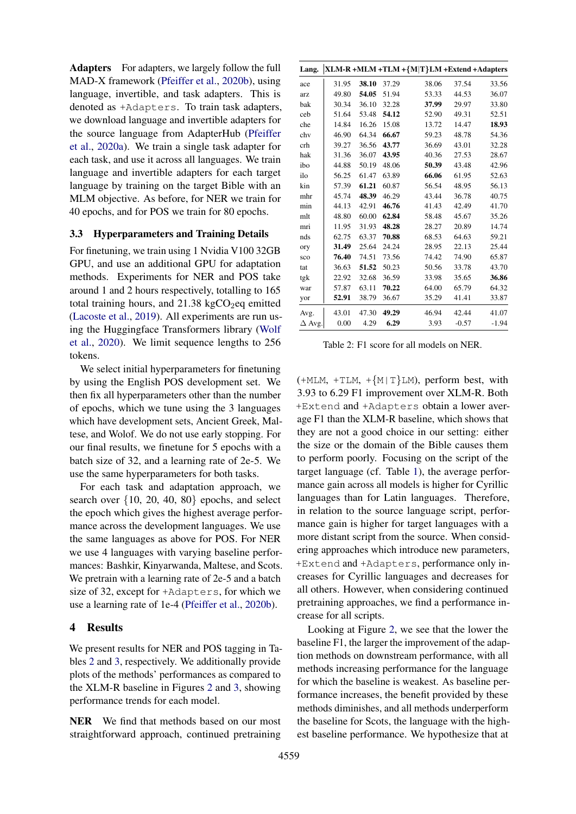Adapters For adapters, we largely follow the full MAD-X framework [\(Pfeiffer et al.,](#page-9-0) [2020b\)](#page-9-0), using language, invertible, and task adapters. This is denoted as +Adapters. To train task adapters, we download language and invertible adapters for the source language from AdapterHub [\(Pfeiffer](#page-9-15) [et al.,](#page-9-15) [2020a\)](#page-9-15). We train a single task adapter for each task, and use it across all languages. We train language and invertible adapters for each target language by training on the target Bible with an MLM objective. As before, for NER we train for 40 epochs, and for POS we train for 80 epochs.

#### 3.3 Hyperparameters and Training Details

For finetuning, we train using 1 Nvidia V100 32GB GPU, and use an additional GPU for adaptation methods. Experiments for NER and POS take around 1 and 2 hours respectively, totalling to 165 total training hours, and  $21.38 \text{ kgCO}_2$ eq emitted [\(Lacoste et al.,](#page-9-16) [2019\)](#page-9-16). All experiments are run using the Huggingface Transformers library [\(Wolf](#page-10-9) [et al.,](#page-10-9) [2020\)](#page-10-9). We limit sequence lengths to 256 tokens.

We select initial hyperparameters for finetuning by using the English POS development set. We then fix all hyperparameters other than the number of epochs, which we tune using the 3 languages which have development sets, Ancient Greek, Maltese, and Wolof. We do not use early stopping. For our final results, we finetune for 5 epochs with a batch size of 32, and a learning rate of 2e-5. We use the same hyperparameters for both tasks.

For each task and adaptation approach, we search over {10, 20, 40, 80} epochs, and select the epoch which gives the highest average performance across the development languages. We use the same languages as above for POS. For NER we use 4 languages with varying baseline performances: Bashkir, Kinyarwanda, Maltese, and Scots. We pretrain with a learning rate of 2e-5 and a batch size of 32, except for +Adapters, for which we use a learning rate of 1e-4 [\(Pfeiffer et al.,](#page-9-0) [2020b\)](#page-9-0).

#### 4 Results

We present results for NER and POS tagging in Tables [2](#page-4-0) and [3,](#page-5-0) respectively. We additionally provide plots of the methods' performances as compared to the XLM-R baseline in Figures [2](#page-5-1) and [3,](#page-6-0) showing performance trends for each model.

NER We find that methods based on our most straightforward approach, continued pretraining

<span id="page-4-0"></span>

| Lang.         |       |       |       | XLM-R +MLM +TLM +{M T}LM +Extend +Adapters |         |         |
|---------------|-------|-------|-------|--------------------------------------------|---------|---------|
| ace           | 31.95 | 38.10 | 37.29 | 38.06                                      | 37.54   | 33.56   |
| arz           | 49.80 | 54.05 | 51.94 | 53.33                                      | 44.53   | 36.07   |
| bak           | 30.34 | 36.10 | 32.28 | 37.99                                      | 29.97   | 33.80   |
| ceb           | 51.64 | 53.48 | 54.12 | 52.90                                      | 49.31   | 52.51   |
| che           | 14.84 | 16.26 | 15.08 | 13.72                                      | 14.47   | 18.93   |
| chv           | 46.90 | 64.34 | 66.67 | 59.23                                      | 48.78   | 54.36   |
| crh           | 39.27 | 36.56 | 43.77 | 36.69                                      | 43.01   | 32.28   |
| hak           | 31.36 | 36.07 | 43.95 | 40.36                                      | 27.53   | 28.67   |
| ibo           | 44.88 | 50.19 | 48.06 | 50.39                                      | 43.48   | 42.96   |
| ilo           | 56.25 | 61.47 | 63.89 | 66.06                                      | 61.95   | 52.63   |
| kin           | 57.39 | 61.21 | 60.87 | 56.54                                      | 48.95   | 56.13   |
| mhr           | 45.74 | 48.39 | 46.29 | 43.44                                      | 36.78   | 40.75   |
| min           | 44.13 | 42.91 | 46.76 | 41.43                                      | 42.49   | 41.70   |
| mlt           | 48.80 | 60.00 | 62.84 | 58.48                                      | 45.67   | 35.26   |
| mri           | 11.95 | 31.93 | 48.28 | 28.27                                      | 20.89   | 14.74   |
| nds           | 62.75 | 63.37 | 70.88 | 68.53                                      | 64.63   | 59.21   |
| ory           | 31.49 | 25.64 | 24.24 | 28.95                                      | 22.13   | 25.44   |
| sco           | 76.40 | 74.51 | 73.56 | 74.42                                      | 74.90   | 65.87   |
| tat           | 36.63 | 51.52 | 50.23 | 50.56                                      | 33.78   | 43.70   |
| tgk           | 22.92 | 32.68 | 36.59 | 33.98                                      | 35.65   | 36.86   |
| war           | 57.87 | 63.11 | 70.22 | 64.00                                      | 65.79   | 64.32   |
| yor           | 52.91 | 38.79 | 36.67 | 35.29                                      | 41.41   | 33.87   |
| Avg.          | 43.01 | 47.30 | 49.29 | 46.94                                      | 42.44   | 41.07   |
| $\Delta$ Avg. | 0.00  | 4.29  | 6.29  | 3.93                                       | $-0.57$ | $-1.94$ |

Table 2: F1 score for all models on NER.

 $(+MLM, +TLM, +{M|T}LM)$ , perform best, with 3.93 to 6.29 F1 improvement over XLM-R. Both +Extend and +Adapters obtain a lower average F1 than the XLM-R baseline, which shows that they are not a good choice in our setting: either the size or the domain of the Bible causes them to perform poorly. Focusing on the script of the target language (cf. Table [1\)](#page-1-0), the average performance gain across all models is higher for Cyrillic languages than for Latin languages. Therefore, in relation to the source language script, performance gain is higher for target languages with a more distant script from the source. When considering approaches which introduce new parameters, +Extend and +Adapters, performance only increases for Cyrillic languages and decreases for all others. However, when considering continued pretraining approaches, we find a performance increase for all scripts.

Looking at Figure [2,](#page-5-1) we see that the lower the baseline F1, the larger the improvement of the adaption methods on downstream performance, with all methods increasing performance for the language for which the baseline is weakest. As baseline performance increases, the benefit provided by these methods diminishes, and all methods underperform the baseline for Scots, the language with the highest baseline performance. We hypothesize that at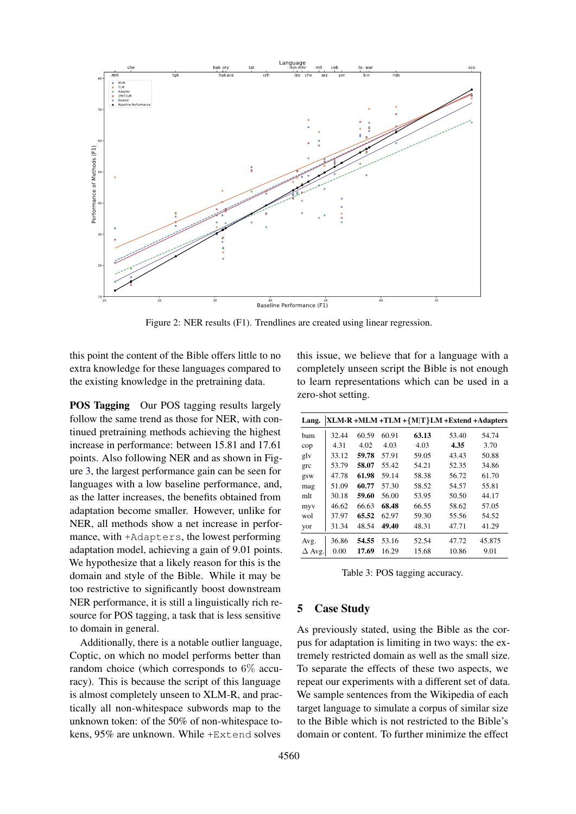<span id="page-5-1"></span>

Figure 2: NER results (F1). Trendlines are created using linear regression.

this point the content of the Bible offers little to no extra knowledge for these languages compared to the existing knowledge in the pretraining data.

POS Tagging Our POS tagging results largely follow the same trend as those for NER, with continued pretraining methods achieving the highest increase in performance: between 15.81 and 17.61 points. Also following NER and as shown in Figure [3,](#page-6-0) the largest performance gain can be seen for languages with a low baseline performance, and, as the latter increases, the benefits obtained from adaptation become smaller. However, unlike for NER, all methods show a net increase in performance, with +Adapters, the lowest performing adaptation model, achieving a gain of 9.01 points. We hypothesize that a likely reason for this is the domain and style of the Bible. While it may be too restrictive to significantly boost downstream NER performance, it is still a linguistically rich resource for POS tagging, a task that is less sensitive to domain in general.

Additionally, there is a notable outlier language, Coptic, on which no model performs better than random choice (which corresponds to 6% accuracy). This is because the script of this language is almost completely unseen to XLM-R, and practically all non-whitespace subwords map to the unknown token: of the 50% of non-whitespace tokens, 95% are unknown. While +Extend solves

this issue, we believe that for a language with a completely unseen script the Bible is not enough to learn representations which can be used in a zero-shot setting.

<span id="page-5-0"></span>

| Lang.         |       |       |       | XLM-R +MLM +TLM +{M T}LM +Extend +Adapters |       |        |
|---------------|-------|-------|-------|--------------------------------------------|-------|--------|
| bam           | 32.44 | 60.59 | 60.91 | 63.13                                      | 53.40 | 54.74  |
| cop           | 4.31  | 4.02  | 4.03  | 4.03                                       | 4.35  | 3.70   |
| glv           | 33.12 | 59.78 | 57.91 | 59.05                                      | 43.43 | 50.88  |
| grc           | 53.79 | 58.07 | 55.42 | 54.21                                      | 52.35 | 34.86  |
| gsw           | 47.78 | 61.98 | 59.14 | 58.38                                      | 56.72 | 61.70  |
| mag           | 51.09 | 60.77 | 57.30 | 58.52                                      | 54.57 | 55.81  |
| mlt           | 30.18 | 59.60 | 56.00 | 53.95                                      | 50.50 | 44.17  |
| myv           | 46.62 | 66.63 | 68.48 | 66.55                                      | 58.62 | 57.05  |
| wol           | 37.97 | 65.52 | 62.97 | 59.30                                      | 55.56 | 54.52  |
| yor           | 31.34 | 48.54 | 49.40 | 48.31                                      | 47.71 | 41.29  |
| Avg.          | 36.86 | 54.55 | 53.16 | 52.54                                      | 47.72 | 45.875 |
| $\Delta$ Avg. | 0.00  | 17.69 | 16.29 | 15.68                                      | 10.86 | 9.01   |

Table 3: POS tagging accuracy.

# 5 Case Study

As previously stated, using the Bible as the corpus for adaptation is limiting in two ways: the extremely restricted domain as well as the small size. To separate the effects of these two aspects, we repeat our experiments with a different set of data. We sample sentences from the Wikipedia of each target language to simulate a corpus of similar size to the Bible which is not restricted to the Bible's domain or content. To further minimize the effect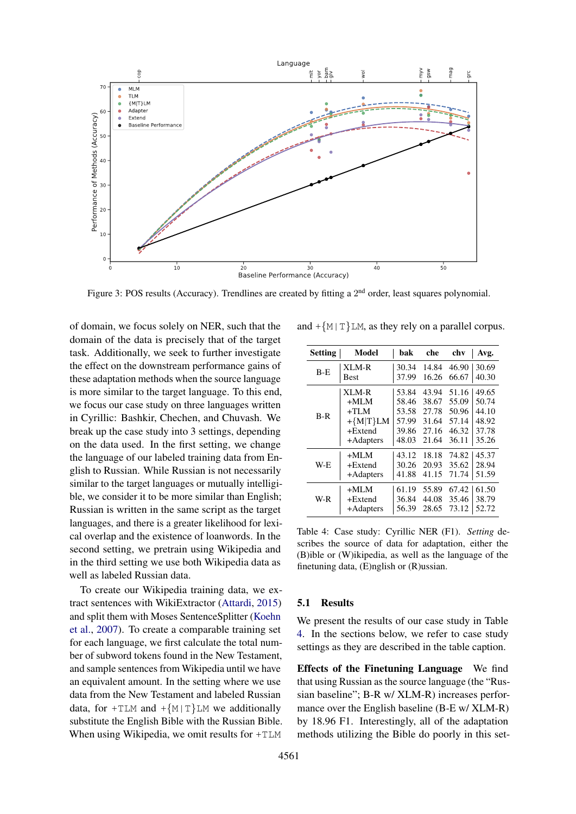<span id="page-6-0"></span>

Figure 3: POS results (Accuracy). Trendlines are created by fitting a 2<sup>nd</sup> order, least squares polynomial.

of domain, we focus solely on NER, such that the domain of the data is precisely that of the target task. Additionally, we seek to further investigate the effect on the downstream performance gains of these adaptation methods when the source language is more similar to the target language. To this end, we focus our case study on three languages written in Cyrillic: Bashkir, Chechen, and Chuvash. We break up the case study into 3 settings, depending on the data used. In the first setting, we change the language of our labeled training data from English to Russian. While Russian is not necessarily similar to the target languages or mutually intelligible, we consider it to be more similar than English; Russian is written in the same script as the target languages, and there is a greater likelihood for lexical overlap and the existence of loanwords. In the second setting, we pretrain using Wikipedia and in the third setting we use both Wikipedia data as well as labeled Russian data.

To create our Wikipedia training data, we extract sentences with WikiExtractor [\(Attardi,](#page-8-15) [2015\)](#page-8-15) and split them with Moses SentenceSplitter [\(Koehn](#page-9-17) [et al.,](#page-9-17) [2007\)](#page-9-17). To create a comparable training set for each language, we first calculate the total number of subword tokens found in the New Testament, and sample sentences from Wikipedia until we have an equivalent amount. In the setting where we use data from the New Testament and labeled Russian data, for  $+TLM$  and  $+\{M|T\}LM$  we additionally substitute the English Bible with the Russian Bible. When using Wikipedia, we omit results for +TLM

<span id="page-6-1"></span>

| <b>Setting</b> | Model        | bak   | che   | chv   | Avg.  |
|----------------|--------------|-------|-------|-------|-------|
| $B-F$          | XLM-R        | 30.34 | 14.84 | 46.90 | 30.69 |
|                | <b>Best</b>  | 37.99 | 16.26 | 66.67 | 40.30 |
|                | XLM-R        | 53.84 | 43.94 | 51.16 | 49.65 |
|                | $+MLM$       | 58.46 | 38.67 | 55.09 | 50.74 |
| $B-R$          | $+TLM$       | 53.58 | 27.78 | 50.96 | 44.10 |
|                | $+\{M T\}LM$ | 57.99 | 31.64 | 57.14 | 48.92 |
|                | $+Extend$    | 39.86 | 27.16 | 46.32 | 37.78 |
|                | +Adapters    | 48.03 | 21.64 | 36.11 | 35.26 |
|                | $+MLM$       | 43.12 | 18.18 | 74.82 | 45.37 |
| W-E            | $+Extend$    | 30.26 | 20.93 | 35.62 | 28.94 |
|                | +Adapters    | 41.88 | 41.15 | 71.74 | 51.59 |
|                | $+MLM$       | 61.19 | 55.89 | 67.42 | 61.50 |
| W-R            | $+Extend$    | 36.84 | 44.08 | 35.46 | 38.79 |
|                | +Adapters    | 56.39 | 28.65 | 73.12 | 52.72 |

and  $+\{M | T\}LM$ , as they rely on a parallel corpus.

Table 4: Case study: Cyrillic NER (F1). *Setting* describes the source of data for adaptation, either the (B)ible or (W)ikipedia, as well as the language of the finetuning data, (E)nglish or (R)ussian.

### 5.1 Results

We present the results of our case study in Table [4.](#page-6-1) In the sections below, we refer to case study settings as they are described in the table caption.

Effects of the Finetuning Language We find that using Russian as the source language (the "Russian baseline"; B-R w/ XLM-R) increases performance over the English baseline (B-E w/ XLM-R) by 18.96 F1. Interestingly, all of the adaptation methods utilizing the Bible do poorly in this set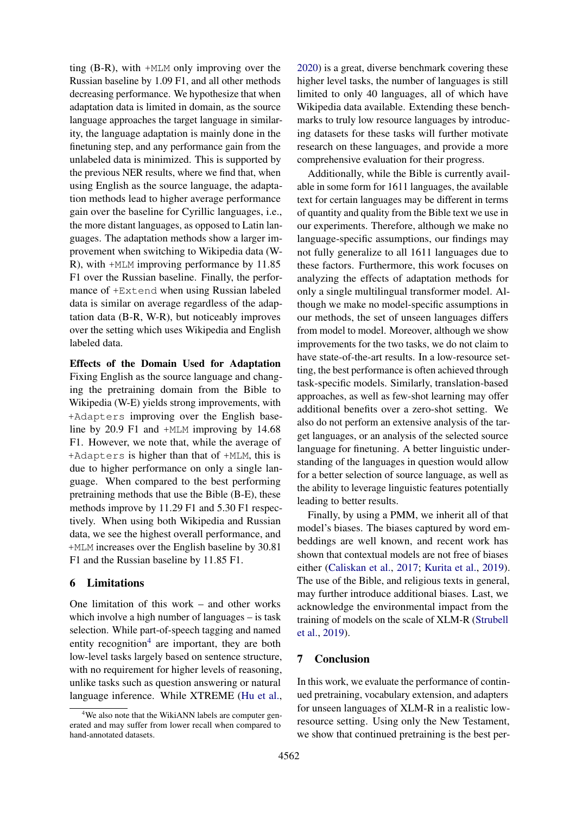ting (B-R), with +MLM only improving over the Russian baseline by 1.09 F1, and all other methods decreasing performance. We hypothesize that when adaptation data is limited in domain, as the source language approaches the target language in similarity, the language adaptation is mainly done in the finetuning step, and any performance gain from the unlabeled data is minimized. This is supported by the previous NER results, where we find that, when using English as the source language, the adaptation methods lead to higher average performance gain over the baseline for Cyrillic languages, i.e., the more distant languages, as opposed to Latin languages. The adaptation methods show a larger improvement when switching to Wikipedia data (W-R), with +MLM improving performance by 11.85 F1 over the Russian baseline. Finally, the performance of +Extend when using Russian labeled data is similar on average regardless of the adaptation data (B-R, W-R), but noticeably improves over the setting which uses Wikipedia and English labeled data.

Effects of the Domain Used for Adaptation Fixing English as the source language and changing the pretraining domain from the Bible to Wikipedia (W-E) yields strong improvements, with +Adapters improving over the English baseline by 20.9 F1 and +MLM improving by 14.68 F1. However, we note that, while the average of +Adapters is higher than that of +MLM, this is due to higher performance on only a single language. When compared to the best performing pretraining methods that use the Bible (B-E), these methods improve by 11.29 F1 and 5.30 F1 respectively. When using both Wikipedia and Russian data, we see the highest overall performance, and +MLM increases over the English baseline by 30.81 F1 and the Russian baseline by 11.85 F1.

#### 6 Limitations

One limitation of this work – and other works which involve a high number of languages – is task selection. While part-of-speech tagging and named entity recognition<sup>[4](#page-0-0)</sup> are important, they are both low-level tasks largely based on sentence structure, with no requirement for higher levels of reasoning, unlike tasks such as question answering or natural language inference. While XTREME [\(Hu et al.,](#page-8-16)

[2020\)](#page-8-16) is a great, diverse benchmark covering these higher level tasks, the number of languages is still limited to only 40 languages, all of which have Wikipedia data available. Extending these benchmarks to truly low resource languages by introducing datasets for these tasks will further motivate research on these languages, and provide a more comprehensive evaluation for their progress.

Additionally, while the Bible is currently available in some form for 1611 languages, the available text for certain languages may be different in terms of quantity and quality from the Bible text we use in our experiments. Therefore, although we make no language-specific assumptions, our findings may not fully generalize to all 1611 languages due to these factors. Furthermore, this work focuses on analyzing the effects of adaptation methods for only a single multilingual transformer model. Although we make no model-specific assumptions in our methods, the set of unseen languages differs from model to model. Moreover, although we show improvements for the two tasks, we do not claim to have state-of-the-art results. In a low-resource setting, the best performance is often achieved through task-specific models. Similarly, translation-based approaches, as well as few-shot learning may offer additional benefits over a zero-shot setting. We also do not perform an extensive analysis of the target languages, or an analysis of the selected source language for finetuning. A better linguistic understanding of the languages in question would allow for a better selection of source language, as well as the ability to leverage linguistic features potentially leading to better results.

Finally, by using a PMM, we inherit all of that model's biases. The biases captured by word embeddings are well known, and recent work has shown that contextual models are not free of biases either [\(Caliskan et al.,](#page-8-17) [2017;](#page-8-17) [Kurita et al.,](#page-9-18) [2019\)](#page-9-18). The use of the Bible, and religious texts in general, may further introduce additional biases. Last, we acknowledge the environmental impact from the training of models on the scale of XLM-R [\(Strubell](#page-10-10) [et al.,](#page-10-10) [2019\)](#page-10-10).

#### 7 Conclusion

In this work, we evaluate the performance of continued pretraining, vocabulary extension, and adapters for unseen languages of XLM-R in a realistic lowresource setting. Using only the New Testament, we show that continued pretraining is the best per-

<sup>&</sup>lt;sup>4</sup>We also note that the WikiANN labels are computer generated and may suffer from lower recall when compared to hand-annotated datasets.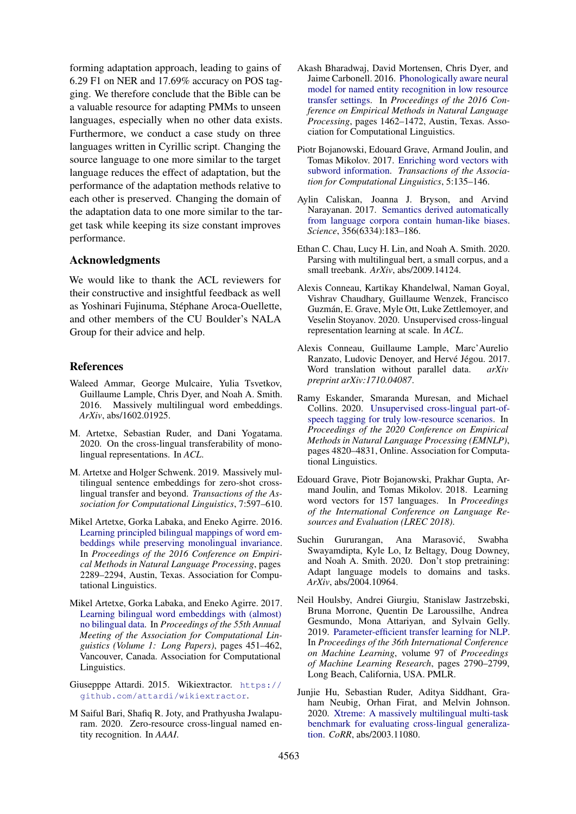forming adaptation approach, leading to gains of 6.29 F1 on NER and 17.69% accuracy on POS tagging. We therefore conclude that the Bible can be a valuable resource for adapting PMMs to unseen languages, especially when no other data exists. Furthermore, we conduct a case study on three languages written in Cyrillic script. Changing the source language to one more similar to the target language reduces the effect of adaptation, but the performance of the adaptation methods relative to each other is preserved. Changing the domain of the adaptation data to one more similar to the target task while keeping its size constant improves performance.

#### Acknowledgments

We would like to thank the ACL reviewers for their constructive and insightful feedback as well as Yoshinari Fujinuma, Stéphane Aroca-Ouellette, and other members of the CU Boulder's NALA Group for their advice and help.

#### References

- <span id="page-8-8"></span>Waleed Ammar, George Mulcaire, Yulia Tsvetkov, Guillaume Lample, Chris Dyer, and Noah A. Smith. 2016. Massively multilingual word embeddings. *ArXiv*, abs/1602.01925.
- <span id="page-8-7"></span>M. Artetxe, Sebastian Ruder, and Dani Yogatama. 2020. On the cross-lingual transferability of monolingual representations. In *ACL*.
- <span id="page-8-9"></span>M. Artetxe and Holger Schwenk. 2019. Massively multilingual sentence embeddings for zero-shot crosslingual transfer and beyond. *Transactions of the Association for Computational Linguistics*, 7:597–610.
- <span id="page-8-6"></span>Mikel Artetxe, Gorka Labaka, and Eneko Agirre. 2016. [Learning principled bilingual mappings of word em](https://doi.org/10.18653/v1/D16-1250)[beddings while preserving monolingual invariance.](https://doi.org/10.18653/v1/D16-1250) In *Proceedings of the 2016 Conference on Empirical Methods in Natural Language Processing*, pages 2289–2294, Austin, Texas. Association for Computational Linguistics.
- <span id="page-8-4"></span>Mikel Artetxe, Gorka Labaka, and Eneko Agirre. 2017. [Learning bilingual word embeddings with \(almost\)](https://doi.org/10.18653/v1/P17-1042) [no bilingual data.](https://doi.org/10.18653/v1/P17-1042) In *Proceedings of the 55th Annual Meeting of the Association for Computational Linguistics (Volume 1: Long Papers)*, pages 451–462, Vancouver, Canada. Association for Computational Linguistics.
- <span id="page-8-15"></span>Giusepppe Attardi. 2015. Wikiextractor. [https://](https://github.com/attardi/wikiextractor) [github.com/attardi/wikiextractor](https://github.com/attardi/wikiextractor).
- <span id="page-8-12"></span>M Saiful Bari, Shafiq R. Joty, and Prathyusha Jwalapuram. 2020. Zero-resource cross-lingual named entity recognition. In *AAAI*.
- <span id="page-8-11"></span>Akash Bharadwaj, David Mortensen, Chris Dyer, and Jaime Carbonell. 2016. [Phonologically aware neural](https://doi.org/10.18653/v1/D16-1153) [model for named entity recognition in low resource](https://doi.org/10.18653/v1/D16-1153) [transfer settings.](https://doi.org/10.18653/v1/D16-1153) In *Proceedings of the 2016 Conference on Empirical Methods in Natural Language Processing*, pages 1462–1472, Austin, Texas. Association for Computational Linguistics.
- <span id="page-8-3"></span>Piotr Bojanowski, Edouard Grave, Armand Joulin, and Tomas Mikolov. 2017. [Enriching word vectors with](https://doi.org/10.1162/tacl_a_00051) [subword information.](https://doi.org/10.1162/tacl_a_00051) *Transactions of the Association for Computational Linguistics*, 5:135–146.
- <span id="page-8-17"></span>Aylin Caliskan, Joanna J. Bryson, and Arvind Narayanan. 2017. [Semantics derived automatically](https://doi.org/10.1126/science.aal4230) [from language corpora contain human-like biases.](https://doi.org/10.1126/science.aal4230) *Science*, 356(6334):183–186.
- <span id="page-8-1"></span>Ethan C. Chau, Lucy H. Lin, and Noah A. Smith. 2020. Parsing with multilingual bert, a small corpus, and a small treebank. *ArXiv*, abs/2009.14124.
- <span id="page-8-0"></span>Alexis Conneau, Kartikay Khandelwal, Naman Goyal, Vishrav Chaudhary, Guillaume Wenzek, Francisco Guzman, E. Grave, Myle Ott, Luke Zettlemoyer, and ´ Veselin Stoyanov. 2020. Unsupervised cross-lingual representation learning at scale. In *ACL*.
- <span id="page-8-5"></span>Alexis Conneau, Guillaume Lample, Marc'Aurelio Ranzato, Ludovic Denoyer, and Hervé Jégou. 2017. Word translation without parallel data. *arXiv preprint arXiv:1710.04087*.
- <span id="page-8-10"></span>Ramy Eskander, Smaranda Muresan, and Michael Collins. 2020. [Unsupervised cross-lingual part-of](https://doi.org/10.18653/v1/2020.emnlp-main.391)[speech tagging for truly low-resource scenarios.](https://doi.org/10.18653/v1/2020.emnlp-main.391) In *Proceedings of the 2020 Conference on Empirical Methods in Natural Language Processing (EMNLP)*, pages 4820–4831, Online. Association for Computational Linguistics.
- <span id="page-8-2"></span>Edouard Grave, Piotr Bojanowski, Prakhar Gupta, Armand Joulin, and Tomas Mikolov. 2018. Learning word vectors for 157 languages. In *Proceedings of the International Conference on Language Resources and Evaluation (LREC 2018)*.
- <span id="page-8-13"></span>Suchin Gururangan, Ana Marasović, Swabha Swayamdipta, Kyle Lo, Iz Beltagy, Doug Downey, and Noah A. Smith. 2020. Don't stop pretraining: Adapt language models to domains and tasks. *ArXiv*, abs/2004.10964.
- <span id="page-8-14"></span>Neil Houlsby, Andrei Giurgiu, Stanislaw Jastrzebski, Bruna Morrone, Quentin De Laroussilhe, Andrea Gesmundo, Mona Attariyan, and Sylvain Gelly. 2019. [Parameter-efficient transfer learning for NLP.](http://proceedings.mlr.press/v97/houlsby19a.html) In *Proceedings of the 36th International Conference on Machine Learning*, volume 97 of *Proceedings of Machine Learning Research*, pages 2790–2799, Long Beach, California, USA. PMLR.
- <span id="page-8-16"></span>Junjie Hu, Sebastian Ruder, Aditya Siddhant, Graham Neubig, Orhan Firat, and Melvin Johnson. 2020. [Xtreme: A massively multilingual multi-task](http://arxiv.org/abs/2003.11080) [benchmark for evaluating cross-lingual generaliza](http://arxiv.org/abs/2003.11080)[tion.](http://arxiv.org/abs/2003.11080) *CoRR*, abs/2003.11080.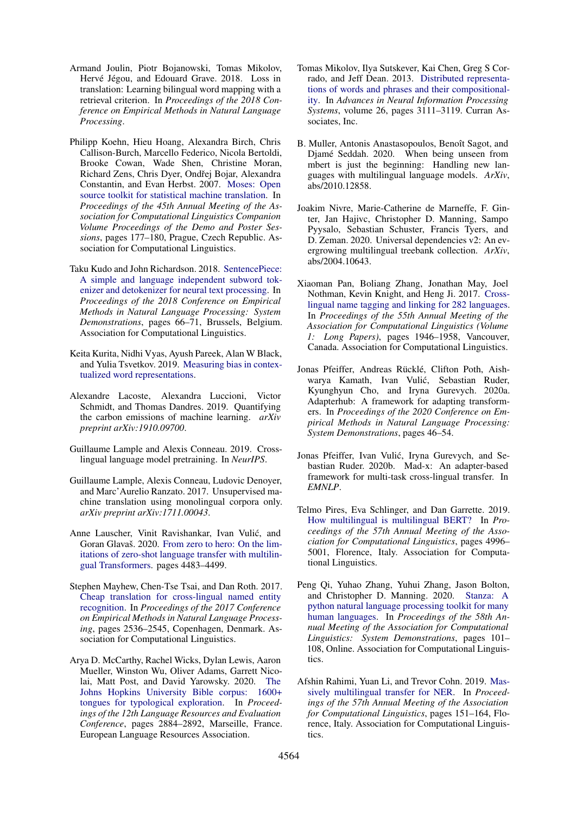- <span id="page-9-2"></span>Armand Joulin, Piotr Bojanowski, Tomas Mikolov, Hervé Jégou, and Edouard Grave. 2018. Loss in translation: Learning bilingual word mapping with a retrieval criterion. In *Proceedings of the 2018 Conference on Empirical Methods in Natural Language Processing*.
- <span id="page-9-17"></span>Philipp Koehn, Hieu Hoang, Alexandra Birch, Chris Callison-Burch, Marcello Federico, Nicola Bertoldi, Brooke Cowan, Wade Shen, Christine Moran, Richard Zens, Chris Dyer, Ondřej Bojar, Alexandra Constantin, and Evan Herbst. 2007. [Moses: Open](https://www.aclweb.org/anthology/P07-2045) [source toolkit for statistical machine translation.](https://www.aclweb.org/anthology/P07-2045) In *Proceedings of the 45th Annual Meeting of the Association for Computational Linguistics Companion Volume Proceedings of the Demo and Poster Sessions*, pages 177–180, Prague, Czech Republic. Association for Computational Linguistics.
- <span id="page-9-6"></span>Taku Kudo and John Richardson. 2018. [SentencePiece:](https://doi.org/10.18653/v1/D18-2012) [A simple and language independent subword tok](https://doi.org/10.18653/v1/D18-2012)[enizer and detokenizer for neural text processing.](https://doi.org/10.18653/v1/D18-2012) In *Proceedings of the 2018 Conference on Empirical Methods in Natural Language Processing: System Demonstrations*, pages 66–71, Brussels, Belgium. Association for Computational Linguistics.
- <span id="page-9-18"></span>Keita Kurita, Nidhi Vyas, Ayush Pareek, Alan W Black, and Yulia Tsvetkov. 2019. [Measuring bias in contex](http://arxiv.org/abs/1906.07337)[tualized word representations.](http://arxiv.org/abs/1906.07337)
- <span id="page-9-16"></span>Alexandre Lacoste, Alexandra Luccioni, Victor Schmidt, and Thomas Dandres. 2019. Quantifying the carbon emissions of machine learning. *arXiv preprint arXiv:1910.09700*.
- <span id="page-9-14"></span>Guillaume Lample and Alexis Conneau. 2019. Crosslingual language model pretraining. In *NeurIPS*.
- <span id="page-9-3"></span>Guillaume Lample, Alexis Conneau, Ludovic Denoyer, and Marc'Aurelio Ranzato. 2017. Unsupervised machine translation using monolingual corpora only. *arXiv preprint arXiv:1711.00043*.
- <span id="page-9-9"></span>Anne Lauscher, Vinit Ravishankar, Ivan Vulic, and ´ Goran Glavaš. 2020. [From zero to hero: On the lim](https://doi.org/10.18653/v1/2020.emnlp-main.363)[itations of zero-shot language transfer with multilin](https://doi.org/10.18653/v1/2020.emnlp-main.363)[gual Transformers.](https://doi.org/10.18653/v1/2020.emnlp-main.363) pages 4483–4499.
- <span id="page-9-4"></span>Stephen Mayhew, Chen-Tse Tsai, and Dan Roth. 2017. [Cheap translation for cross-lingual named entity](https://doi.org/10.18653/v1/D17-1269) [recognition.](https://doi.org/10.18653/v1/D17-1269) In *Proceedings of the 2017 Conference on Empirical Methods in Natural Language Processing*, pages 2536–2545, Copenhagen, Denmark. Association for Computational Linguistics.
- <span id="page-9-10"></span>Arya D. McCarthy, Rachel Wicks, Dylan Lewis, Aaron Mueller, Winston Wu, Oliver Adams, Garrett Nicolai, Matt Post, and David Yarowsky. 2020. [The](https://www.aclweb.org/anthology/2020.lrec-1.352) [Johns Hopkins University Bible corpus: 1600+](https://www.aclweb.org/anthology/2020.lrec-1.352) [tongues for typological exploration.](https://www.aclweb.org/anthology/2020.lrec-1.352) In *Proceedings of the 12th Language Resources and Evaluation Conference*, pages 2884–2892, Marseille, France. European Language Resources Association.
- <span id="page-9-1"></span>Tomas Mikolov, Ilya Sutskever, Kai Chen, Greg S Corrado, and Jeff Dean. 2013. [Distributed representa](https://proceedings.neurips.cc/paper/2013/file/9aa42b31882ec039965f3c4923ce901b-Paper.pdf)[tions of words and phrases and their compositional](https://proceedings.neurips.cc/paper/2013/file/9aa42b31882ec039965f3c4923ce901b-Paper.pdf)[ity.](https://proceedings.neurips.cc/paper/2013/file/9aa42b31882ec039965f3c4923ce901b-Paper.pdf) In *Advances in Neural Information Processing Systems*, volume 26, pages 3111–3119. Curran Associates, Inc.
- <span id="page-9-8"></span>B. Muller, Antonis Anastasopoulos, Benoît Sagot, and Djamé Seddah. 2020. When being unseen from mbert is just the beginning: Handling new languages with multilingual language models. *ArXiv*, abs/2010.12858.
- <span id="page-9-13"></span>Joakim Nivre, Marie-Catherine de Marneffe, F. Ginter, Jan Hajivc, Christopher D. Manning, Sampo Pyysalo, Sebastian Schuster, Francis Tyers, and D. Zeman. 2020. Universal dependencies v2: An evergrowing multilingual treebank collection. *ArXiv*, abs/2004.10643.
- <span id="page-9-12"></span>Xiaoman Pan, Boliang Zhang, Jonathan May, Joel Nothman, Kevin Knight, and Heng Ji. 2017. [Cross](https://doi.org/10.18653/v1/P17-1178)[lingual name tagging and linking for 282 languages.](https://doi.org/10.18653/v1/P17-1178) In *Proceedings of the 55th Annual Meeting of the Association for Computational Linguistics (Volume 1: Long Papers)*, pages 1946–1958, Vancouver, Canada. Association for Computational Linguistics.
- <span id="page-9-15"></span>Jonas Pfeiffer, Andreas Rücklé, Clifton Poth, Aishwarya Kamath, Ivan Vulic, Sebastian Ruder, ´ Kyunghyun Cho, and Iryna Gurevych. 2020a. Adapterhub: A framework for adapting transformers. In *Proceedings of the 2020 Conference on Empirical Methods in Natural Language Processing: System Demonstrations*, pages 46–54.
- <span id="page-9-0"></span>Jonas Pfeiffer, Ivan Vulić, Iryna Gurevych, and Sebastian Ruder. 2020b. Mad-x: An adapter-based framework for multi-task cross-lingual transfer. In *EMNLP*.
- <span id="page-9-7"></span>Telmo Pires, Eva Schlinger, and Dan Garrette. 2019. [How multilingual is multilingual BERT?](https://doi.org/10.18653/v1/P19-1493) In *Proceedings of the 57th Annual Meeting of the Association for Computational Linguistics*, pages 4996– 5001, Florence, Italy. Association for Computational Linguistics.
- <span id="page-9-5"></span>Peng Qi, Yuhao Zhang, Yuhui Zhang, Jason Bolton, and Christopher D. Manning. 2020. [Stanza: A](https://doi.org/10.18653/v1/2020.acl-demos.14) [python natural language processing toolkit for many](https://doi.org/10.18653/v1/2020.acl-demos.14) [human languages.](https://doi.org/10.18653/v1/2020.acl-demos.14) In *Proceedings of the 58th Annual Meeting of the Association for Computational Linguistics: System Demonstrations*, pages 101– 108, Online. Association for Computational Linguistics.
- <span id="page-9-11"></span>Afshin Rahimi, Yuan Li, and Trevor Cohn. 2019. [Mas](https://doi.org/10.18653/v1/P19-1015)[sively multilingual transfer for NER.](https://doi.org/10.18653/v1/P19-1015) In *Proceedings of the 57th Annual Meeting of the Association for Computational Linguistics*, pages 151–164, Florence, Italy. Association for Computational Linguistics.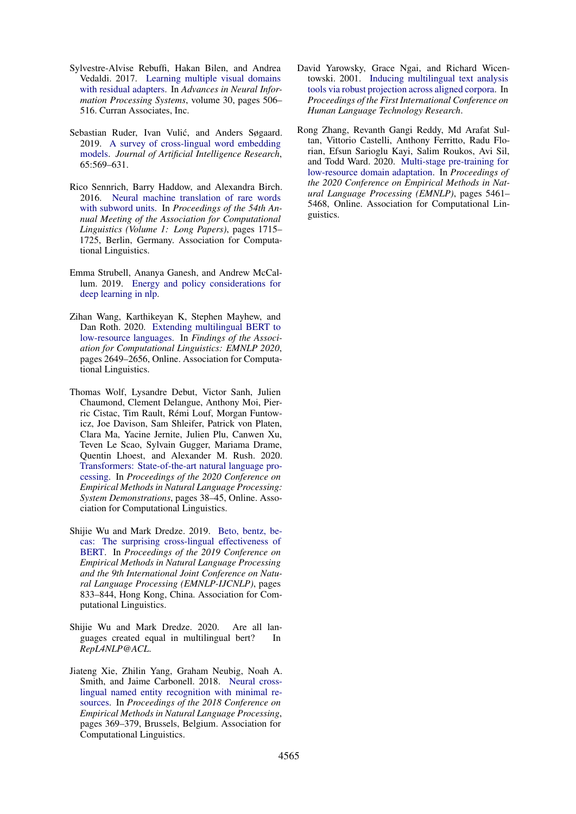- <span id="page-10-8"></span>Sylvestre-Alvise Rebuffi, Hakan Bilen, and Andrea Vedaldi. 2017. [Learning multiple visual domains](https://proceedings.neurips.cc/paper/2017/file/e7b24b112a44fdd9ee93bdf998c6ca0e-Paper.pdf) [with residual adapters.](https://proceedings.neurips.cc/paper/2017/file/e7b24b112a44fdd9ee93bdf998c6ca0e-Paper.pdf) In *Advances in Neural Information Processing Systems*, volume 30, pages 506– 516. Curran Associates, Inc.
- <span id="page-10-1"></span>Sebastian Ruder, Ivan Vulić, and Anders Søgaard. 2019. [A survey of cross-lingual word embedding](https://doi.org/10.1613/jair.1.11640) [models.](https://doi.org/10.1613/jair.1.11640) *Journal of Artificial Intelligence Research*, 65:569–631.
- <span id="page-10-4"></span>Rico Sennrich, Barry Haddow, and Alexandra Birch. 2016. [Neural machine translation of rare words](https://doi.org/10.18653/v1/P16-1162) [with subword units.](https://doi.org/10.18653/v1/P16-1162) In *Proceedings of the 54th Annual Meeting of the Association for Computational Linguistics (Volume 1: Long Papers)*, pages 1715– 1725, Berlin, Germany. Association for Computational Linguistics.
- <span id="page-10-10"></span>Emma Strubell, Ananya Ganesh, and Andrew McCallum. 2019. [Energy and policy considerations for](http://arxiv.org/abs/1906.02243) [deep learning in nlp.](http://arxiv.org/abs/1906.02243)
- <span id="page-10-0"></span>Zihan Wang, Karthikeyan K, Stephen Mayhew, and Dan Roth. 2020. [Extending multilingual BERT to](https://doi.org/10.18653/v1/2020.findings-emnlp.240) [low-resource languages.](https://doi.org/10.18653/v1/2020.findings-emnlp.240) In *Findings of the Association for Computational Linguistics: EMNLP 2020*, pages 2649–2656, Online. Association for Computational Linguistics.
- <span id="page-10-9"></span>Thomas Wolf, Lysandre Debut, Victor Sanh, Julien Chaumond, Clement Delangue, Anthony Moi, Pierric Cistac, Tim Rault, Rémi Louf, Morgan Funtowicz, Joe Davison, Sam Shleifer, Patrick von Platen, Clara Ma, Yacine Jernite, Julien Plu, Canwen Xu, Teven Le Scao, Sylvain Gugger, Mariama Drame, Quentin Lhoest, and Alexander M. Rush. 2020. [Transformers: State-of-the-art natural language pro](https://www.aclweb.org/anthology/2020.emnlp-demos.6)[cessing.](https://www.aclweb.org/anthology/2020.emnlp-demos.6) In *Proceedings of the 2020 Conference on Empirical Methods in Natural Language Processing: System Demonstrations*, pages 38–45, Online. Association for Computational Linguistics.
- <span id="page-10-5"></span>Shijie Wu and Mark Dredze. 2019. [Beto, bentz, be](https://doi.org/10.18653/v1/D19-1077)[cas: The surprising cross-lingual effectiveness of](https://doi.org/10.18653/v1/D19-1077) [BERT.](https://doi.org/10.18653/v1/D19-1077) In *Proceedings of the 2019 Conference on Empirical Methods in Natural Language Processing and the 9th International Joint Conference on Natural Language Processing (EMNLP-IJCNLP)*, pages 833–844, Hong Kong, China. Association for Computational Linguistics.
- <span id="page-10-6"></span>Shijie Wu and Mark Dredze. 2020. Are all languages created equal in multilingual bert? In *RepL4NLP@ACL*.
- <span id="page-10-3"></span>Jiateng Xie, Zhilin Yang, Graham Neubig, Noah A. Smith, and Jaime Carbonell. 2018. [Neural cross](https://doi.org/10.18653/v1/D18-1034)[lingual named entity recognition with minimal re](https://doi.org/10.18653/v1/D18-1034)[sources.](https://doi.org/10.18653/v1/D18-1034) In *Proceedings of the 2018 Conference on Empirical Methods in Natural Language Processing*, pages 369–379, Brussels, Belgium. Association for Computational Linguistics.
- <span id="page-10-2"></span>David Yarowsky, Grace Ngai, and Richard Wicentowski. 2001. [Inducing multilingual text analysis](https://www.aclweb.org/anthology/H01-1035) [tools via robust projection across aligned corpora.](https://www.aclweb.org/anthology/H01-1035) In *Proceedings of the First International Conference on Human Language Technology Research*.
- <span id="page-10-7"></span>Rong Zhang, Revanth Gangi Reddy, Md Arafat Sultan, Vittorio Castelli, Anthony Ferritto, Radu Florian, Efsun Sarioglu Kayi, Salim Roukos, Avi Sil, and Todd Ward. 2020. [Multi-stage pre-training for](https://doi.org/10.18653/v1/2020.emnlp-main.440) [low-resource domain adaptation.](https://doi.org/10.18653/v1/2020.emnlp-main.440) In *Proceedings of the 2020 Conference on Empirical Methods in Natural Language Processing (EMNLP)*, pages 5461– 5468, Online. Association for Computational Linguistics.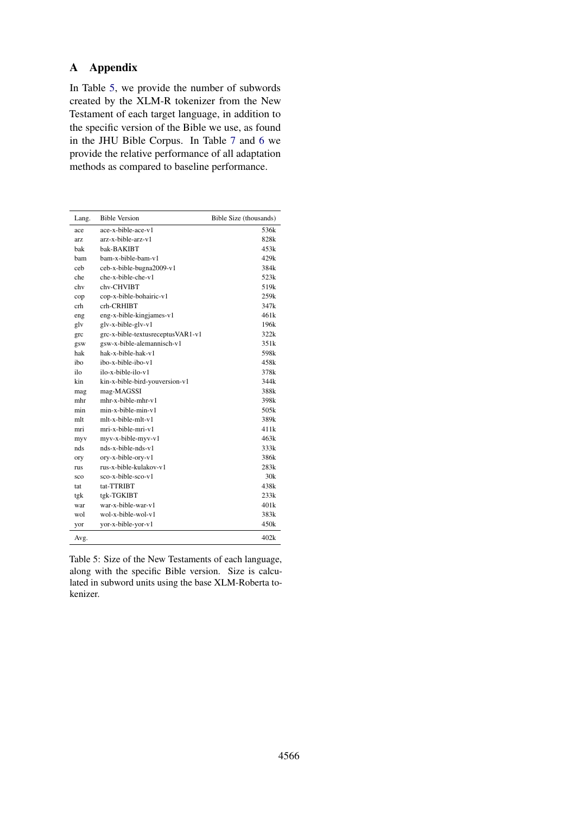#### **Appendix**  $\mathbf{A}$

In Table 5, we provide the number of subwords created by the XLM-R tokenizer from the New Testament of each target language, in addition to the specific version of the Bible we use, as found in the JHU Bible Corpus. In Table 7 and 6 we provide the relative performance of all adaptation methods as compared to baseline performance.

| Lang. | <b>Bible Version</b>              | Bible Size (thousands) |
|-------|-----------------------------------|------------------------|
| ace   | ace-x-bible-ace-v1                | 536k                   |
| arz.  | arz-x-bible-arz-y1                | 828k                   |
| bak   | bak-BAKIBT                        | 453k                   |
| ham   | bam-x-bible-bam-v1                | 429k                   |
| ceh   | ceb-x-bible-bugna2009-v1          | 384k                   |
| che   | che-x-bible-che-v1                | 523k                   |
| chy   | chv-CHVIBT                        | 519 <sub>k</sub>       |
| cop   | cop-x-bible-bohairic-v1           | 259k                   |
| crh   | crh-CRHIBT                        | 347k                   |
| eng   | eng-x-bible-kingjames-v1          | 461k                   |
| glv   | glv-x-bible-glv-v1                | 196k                   |
| grc   | grc-x-bible-textusreceptusVAR1-v1 | 322k                   |
| gsw   | gsw-x-bible-alemannisch-v1        | 351k                   |
| hak   | hak-x-bible-hak-y1                | 598k                   |
| iho   | ibo-x-bible-ibo-y1                | 458k                   |
| ilo   | ilo-x-bible-ilo-y1                | 378k                   |
| kin   | kin-x-bible-bird-youversion-v1    | 344k                   |
| mag   | mag-MAGSSI                        | 388k                   |
| mhr   | $mhr-x-bible-mhr-v1$              | 398k                   |
| min   | $min-x$ -bible-min-v1             | 505k                   |
| mlt   | mlt-x-bible-mlt-y1                | 389k                   |
| mri   | mri-x-bible-mri-v1                | 411k                   |
| myv   | myv-x-bible-myv-v1                | 463k                   |
| nds   | nds-x-bible-nds-y1                | 333k                   |
| ory   | ory-x-bible-ory-v1                | 386k                   |
| rus   | rus-x-bible-kulakov-y1            | 283k                   |
| sco   | sco-x-bible-sco-v1                | 30k                    |
| tat   | tat-TTRIBT                        | 438k                   |
| tgk   | tgk-TGKIBT                        | 233k                   |
| war   | war-x-bible-war-y1                | 401 <sub>k</sub>       |
| wol   | wol-x-bible-wol-y1                | 383k                   |
| yor   | yor-x-bible-yor-v1                | 450k                   |
| Avg.  |                                   | 402k                   |

<span id="page-11-0"></span>Table 5: Size of the New Testaments of each language, along with the specific Bible version. Size is calculated in subword units using the base XLM-Roberta tokenizer.